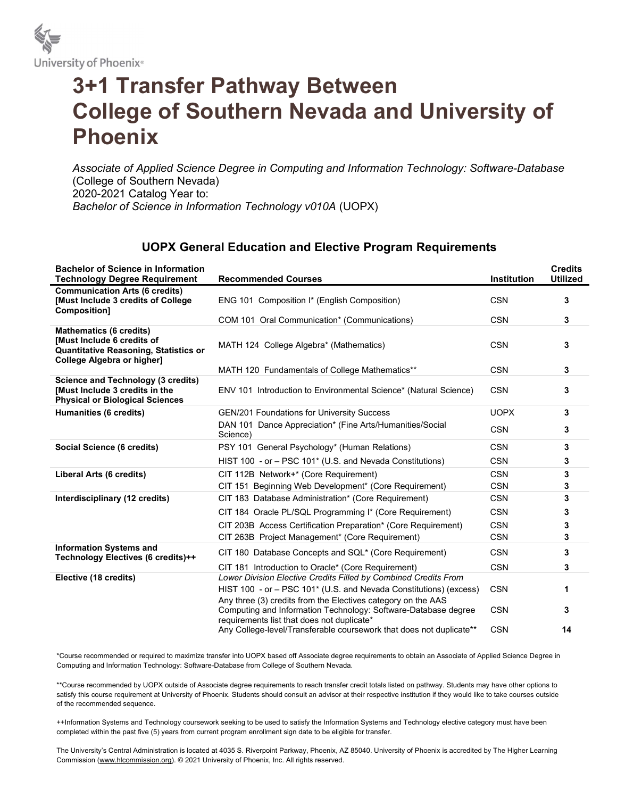

## 3+1 Transfer Pathway Between College of Southern Nevada and University of Phoenix

Associate of Applied Science Degree in Computing and Information Technology: Software-Database (College of Southern Nevada) 2020-2021 Catalog Year to: Bachelor of Science in Information Technology v010A (UOPX)

## UOPX General Education and Elective Program Requirements

| <b>Bachelor of Science in Information</b><br><b>Technology Degree Requirement</b>                                                         | <b>Recommended Courses</b>                                                                                                                                                                           | <b>Institution</b> | <b>Credits</b><br><b>Utilized</b> |
|-------------------------------------------------------------------------------------------------------------------------------------------|------------------------------------------------------------------------------------------------------------------------------------------------------------------------------------------------------|--------------------|-----------------------------------|
| <b>Communication Arts (6 credits)</b><br>[Must Include 3 credits of College<br><b>Composition1</b>                                        | ENG 101 Composition I* (English Composition)                                                                                                                                                         | <b>CSN</b>         | 3                                 |
|                                                                                                                                           | COM 101 Oral Communication* (Communications)                                                                                                                                                         | <b>CSN</b>         | 3                                 |
| <b>Mathematics (6 credits)</b><br>Must Include 6 credits of<br><b>Quantitative Reasoning, Statistics or</b><br>College Algebra or higher] | MATH 124 College Algebra* (Mathematics)                                                                                                                                                              | <b>CSN</b>         | 3                                 |
|                                                                                                                                           | MATH 120 Fundamentals of College Mathematics**                                                                                                                                                       | <b>CSN</b>         | 3                                 |
| Science and Technology (3 credits)<br>Must Include 3 credits in the<br><b>Physical or Biological Sciences</b>                             | ENV 101 Introduction to Environmental Science* (Natural Science)                                                                                                                                     | <b>CSN</b>         | 3                                 |
| Humanities (6 credits)                                                                                                                    | GEN/201 Foundations for University Success                                                                                                                                                           | <b>UOPX</b>        | 3                                 |
|                                                                                                                                           | DAN 101 Dance Appreciation* (Fine Arts/Humanities/Social<br>Science)                                                                                                                                 | <b>CSN</b>         | 3                                 |
| Social Science (6 credits)                                                                                                                | PSY 101 General Psychology* (Human Relations)                                                                                                                                                        | <b>CSN</b>         | 3                                 |
|                                                                                                                                           | HIST 100 - or - PSC 101* (U.S. and Nevada Constitutions)                                                                                                                                             | <b>CSN</b>         | 3                                 |
| Liberal Arts (6 credits)                                                                                                                  | CIT 112B Network+* (Core Requirement)                                                                                                                                                                | <b>CSN</b>         | 3                                 |
|                                                                                                                                           | CIT 151 Beginning Web Development* (Core Requirement)                                                                                                                                                | <b>CSN</b>         | 3                                 |
| Interdisciplinary (12 credits)                                                                                                            | CIT 183 Database Administration* (Core Requirement)                                                                                                                                                  | <b>CSN</b>         | 3                                 |
|                                                                                                                                           | CIT 184 Oracle PL/SQL Programming I* (Core Requirement)                                                                                                                                              | <b>CSN</b>         | 3                                 |
|                                                                                                                                           | CIT 203B Access Certification Preparation* (Core Requirement)                                                                                                                                        | <b>CSN</b>         | 3                                 |
|                                                                                                                                           | CIT 263B Project Management* (Core Requirement)                                                                                                                                                      | <b>CSN</b>         | 3                                 |
| <b>Information Systems and</b><br>Technology Electives (6 credits)++                                                                      | CIT 180 Database Concepts and SQL* (Core Requirement)                                                                                                                                                | <b>CSN</b>         | 3                                 |
|                                                                                                                                           | CIT 181 Introduction to Oracle* (Core Requirement)                                                                                                                                                   | <b>CSN</b>         | 3                                 |
| Elective (18 credits)                                                                                                                     | Lower Division Elective Credits Filled by Combined Credits From<br>HIST 100 - or - PSC 101* (U.S. and Nevada Constitutions) (excess)<br>Any three (3) credits from the Electives category on the AAS | <b>CSN</b>         | 1                                 |
|                                                                                                                                           | Computing and Information Technology: Software-Database degree<br>requirements list that does not duplicate*                                                                                         | <b>CSN</b>         | 3                                 |
|                                                                                                                                           | Any College-level/Transferable coursework that does not duplicate**                                                                                                                                  | <b>CSN</b>         | 14                                |

\*Course recommended or required to maximize transfer into UOPX based off Associate degree requirements to obtain an Associate of Applied Science Degree in Computing and Information Technology: Software-Database from College of Southern Nevada.

\*\*Course recommended by UOPX outside of Associate degree requirements to reach transfer credit totals listed on pathway. Students may have other options to satisfy this course requirement at University of Phoenix. Students should consult an advisor at their respective institution if they would like to take courses outside of the recommended sequence.

++Information Systems and Technology coursework seeking to be used to satisfy the Information Systems and Technology elective category must have been completed within the past five (5) years from current program enrollment sign date to be eligible for transfer.

The University's Central Administration is located at 4035 S. Riverpoint Parkway, Phoenix, AZ 85040. University of Phoenix is accredited by The Higher Learning Commission (www.hlcommission.org). © 2021 University of Phoenix, Inc. All rights reserved.